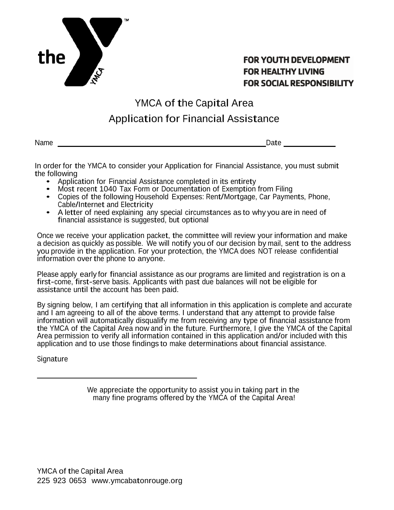

# **FOR YOUTH DEVELOPMENT FOR HEALTHY LIVING FOR SOCIAL RESPONSIBILITY**

# YMCA of the Capital Area Application for Financial Assistance

Name \_\_\_\_\_\_\_\_\_ Date \_\_\_\_\_\_\_

In order for the YMCA to consider your Application for Financial Assistance, you must submit the following<br>• Application for Financial Assistance completed in its entirety

- 
- Most recent 1040 Tax Form or Documentation of Exemption from Filing
- Copies of the following Household Expenses: Rent/Mortgage, Car Payments, Phone, Cable/Internet and Electricity
- A letter of need explaining any special circumstances as to why you are in need of financial assistance is suggested, but optional

Once we receive your application packet, the committee will review your information and make a decision as quickly as possible. We will notify you of our decision by mail, sent to the address you provide in the application. For your protection, the YMCA does NOT release confidential information over the phone to anyone.

Please apply early for financial assistance as our programs are limited and registration is on a first-come, first-serve basis. Applicants with past due balances will not be eligible for assistance until the account has been paid.

By signing below, I am certifying that all information in this application is complete and accurate and I am agreeing to all of the above terms. I understand that any attempt to provide false information will automatically disqualify me from receiving any type of financial assistance from the YMCA of the Capital Area now and in the future. Furthermore, I give the YMCA of the Capital Area permission to verify all information contained in this application and/or included with this application and to use those findings to make determinations about financial assistance.

Signature

We appreciate the opportunity to assist you in taking part in the many fine programs offered by the YMCA of the Capital Area!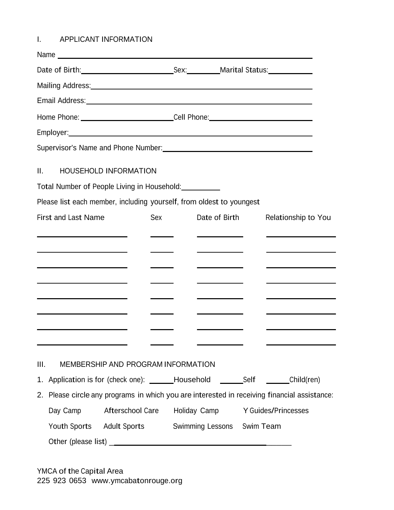I. APPLICANT INFORMATION

|      |                                                                  | Name                                                                                                   |     |                                                 |                                                                                                                                                                                                                                      |
|------|------------------------------------------------------------------|--------------------------------------------------------------------------------------------------------|-----|-------------------------------------------------|--------------------------------------------------------------------------------------------------------------------------------------------------------------------------------------------------------------------------------------|
|      |                                                                  |                                                                                                        |     |                                                 |                                                                                                                                                                                                                                      |
|      |                                                                  | Mailing Address: Mailing Address: Mailing Address: Mailing Address: Mailing Address: Mail 1999         |     |                                                 |                                                                                                                                                                                                                                      |
|      |                                                                  |                                                                                                        |     |                                                 |                                                                                                                                                                                                                                      |
|      |                                                                  | Home Phone: ____________________________Cell Phone: ____________________________                       |     |                                                 |                                                                                                                                                                                                                                      |
|      |                                                                  |                                                                                                        |     |                                                 |                                                                                                                                                                                                                                      |
|      |                                                                  | Supervisor's Name and Phone Number: Manual Assembly Control of the Supervisor's Name and Phone Number: |     |                                                 |                                                                                                                                                                                                                                      |
| II.  |                                                                  | HOUSEHOLD INFORMATION                                                                                  |     |                                                 |                                                                                                                                                                                                                                      |
|      |                                                                  | Total Number of People Living in Household: __________                                                 |     |                                                 |                                                                                                                                                                                                                                      |
|      |                                                                  | Please list each member, including yourself, from oldest to youngest                                   |     |                                                 |                                                                                                                                                                                                                                      |
|      | <b>First and Last Name</b>                                       |                                                                                                        | Sex | Date of Birth                                   | Relationship to You                                                                                                                                                                                                                  |
|      | <u> 1989 - Johann Barn, mars eta biztanleria (</u>               |                                                                                                        |     | <u> The Common State Common State Common</u>    | <u> The Communication of the Communication of the Communication of the Communication of the Communication of the Communication of the Communication of the Communication of the Communication of the Communication of the Commun</u> |
|      | <u> 1980 - John Stone, Amerikaansk politiker (* 1918)</u>        |                                                                                                        |     | <u> 1989 - Johann Barnett, fransk politiker</u> |                                                                                                                                                                                                                                      |
|      | <u> 1989 - Johann Barn, amerikansk politiker (d. 1989)</u>       |                                                                                                        |     | <u> 1980 - Johann Barbara, martxa a</u>         |                                                                                                                                                                                                                                      |
|      | <u> 1989 - Johann Barn, amerikansk politiker (d. 1989)</u>       |                                                                                                        |     | <u> 1980 - Johann Barbara, martxa a</u>         |                                                                                                                                                                                                                                      |
|      | <u> 1989 - Johann Stein, mars an t-Amerikaansk kommunister (</u> |                                                                                                        |     |                                                 | the control of the control of the control of the control of the control of                                                                                                                                                           |
|      |                                                                  |                                                                                                        |     |                                                 | <u> 1980 - Johann Barnett, fransk politiker (d. 1980)</u>                                                                                                                                                                            |
|      |                                                                  |                                                                                                        |     |                                                 |                                                                                                                                                                                                                                      |
|      |                                                                  |                                                                                                        |     |                                                 |                                                                                                                                                                                                                                      |
| III. |                                                                  | MEMBERSHIP AND PROGRAM INFORMATION                                                                     |     |                                                 |                                                                                                                                                                                                                                      |
|      |                                                                  |                                                                                                        |     |                                                 | 1. Application is for (check one): ______Household __________________________Child(ren)                                                                                                                                              |
|      |                                                                  |                                                                                                        |     |                                                 | 2. Please circle any programs in which you are interested in receiving financial assistance:                                                                                                                                         |
|      | Day Camp                                                         | Afterschool Care                                                                                       |     | Holiday Camp                                    | Y Guides/Princesses                                                                                                                                                                                                                  |
|      |                                                                  | Youth Sports Adult Sports                                                                              |     | Swimming Lessons Swim Team                      |                                                                                                                                                                                                                                      |
|      |                                                                  |                                                                                                        |     |                                                 |                                                                                                                                                                                                                                      |

YMCA of the Capital Area <sup>225</sup> <sup>923</sup> 0653 [www.ymcabatonrouge.org](http://www.ymcabatonrouge.org/)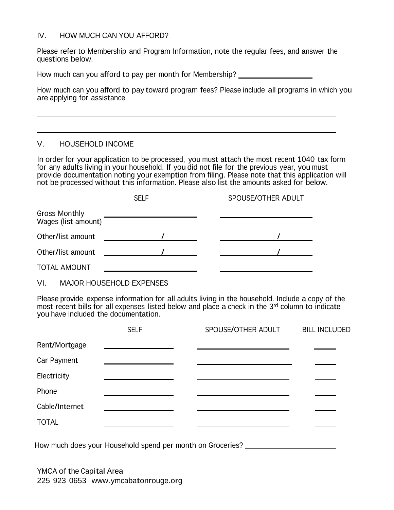#### IV. HOW MUCH CAN YOU AFFORD?

Please refer to Membership and Program Information, note the regular fees, and answer the questions below.

How much can you afford to pay per month for Membership?

How much can you afford to pay toward program fees? Please include all programs in which you are applying for assistance.

## V. HOUSEHOLD INCOME

In order for your application to be processed, you must attach the most recent 1040 tax form for any adults living in your household. If you did not file for the previous year, you must provide documentation noting your exemption from filing. Please note that this application will not be processed without this information. Please also list the amounts asked for below.

|                                             | <b>SELF</b> | SPOUSE/OTHER ADULT |
|---------------------------------------------|-------------|--------------------|
| <b>Gross Monthly</b><br>Wages (list amount) |             |                    |
| Other/list amount                           |             |                    |
| Other/list amount                           |             |                    |
| <b>TOTAL AMOUNT</b>                         |             |                    |

VI. MAJOR HOUSEHOLD EXPENSES

Please provide expense information for all adults living in the household. Include a copy of the most recent bills for all expenses listed below and place a check in the 3rd column to indicate you have included the documentation.

|                | <b>SELF</b> | SPOUSE/OTHER ADULT | <b>BILL INCLUDED</b> |
|----------------|-------------|--------------------|----------------------|
| Rent/Mortgage  |             |                    |                      |
| Car Payment    |             |                    |                      |
| Electricity    |             |                    |                      |
| Phone          |             |                    |                      |
| Cable/Internet |             |                    |                      |
| <b>TOTAL</b>   |             |                    |                      |

How much does your Household spend per month on Groceries?